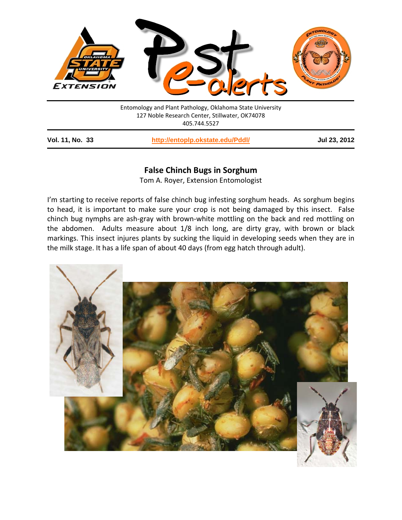

Entomology and Plant Pathology, Oklahoma State University 127 Noble Research Center, Stillwater, OK74078 405.744.5527

**Vol. 11, No. 33 <http://entoplp.okstate.edu/Pddl/> Jul 23, 2012**

# **False Chinch Bugs in Sorghum**

Tom A. Royer, Extension Entomologist

I'm starting to receive reports of false chinch bug infesting sorghum heads. As sorghum begins to head, it is important to make sure your crop is not being damaged by this insect. False chinch bug nymphs are ash-gray with brown-white mottling on the back and red mottling on the abdomen. Adults measure about 1/8 inch long, are dirty gray, with brown or black markings. This insect injures plants by sucking the liquid in developing seeds when they are in the milk stage. It has a life span of about 40 days (from egg hatch through adult).